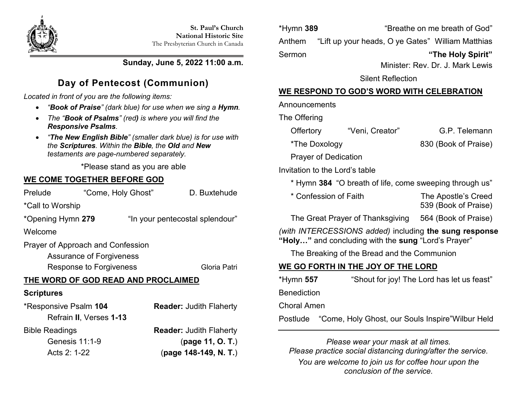

### **Sunday, June 5, 2022 11:00 a.m.**

# **Day of Pentecost (Communion)**

*Located in front of you are the following items:*

- *"Book of Praise" (dark blue) for use when we sing a Hymn.*
- *The "Book of Psalms" (red) is where you will find the Responsive Psalms.*
- *"The New English Bible" (smaller dark blue) is for use with the Scriptures. Within the Bible, the Old and New testaments are page-numbered separately.*

\*Please stand as you are able

## **WE COME TOGETHER BEFORE GOD**

| Prelude | "Come, Holy Ghost" | D. Buxtehude |
|---------|--------------------|--------------|
|         |                    |              |

\*Call to Worship

\*Opening Hymn **279** "In your pentecostal splendour"

Welcome

Prayer of Approach and Confession

Assurance of Forgiveness

Response to Forgiveness Gloria Patri

## **THE WORD OF GOD READ AND PROCLAIMED**

## **Scriptures**

| *Responsive Psalm 104   | <b>Reader: Judith Flaherty</b> |
|-------------------------|--------------------------------|
| Refrain II, Verses 1-13 |                                |
| <b>Bible Readings</b>   | <b>Reader: Judith Flaherty</b> |
| Genesis 11:1-9          | (page 11, O. T.)               |
| Acts 2: 1-22            | (page 148-149, N. T.)          |

\*Hymn **389** "Breathe on me breath of God" Anthem "Lift up your heads, O ye Gates" William Matthias Sermon **"The Holy Spirit"**

Minister: Rev. Dr. J. Mark Lewis

539 (Book of Praise)

Silent Reflection

## **WE RESPOND TO GOD'S WORD WITH CELEBRATION**

### Announcements

The Offering

| Offertory                      | "Veni, Creator"                                         | G.P. Telemann        |  |
|--------------------------------|---------------------------------------------------------|----------------------|--|
| *The Doxology                  |                                                         | 830 (Book of Praise) |  |
| <b>Prayer of Dedication</b>    |                                                         |                      |  |
| Invitation to the Lord's table |                                                         |                      |  |
|                                | * Hymn 384 "O breath of life, come sweeping through us" |                      |  |
|                                |                                                         |                      |  |

\* Confession of Faith The Apostle's Creed

The Great Prayer of Thanksgiving 564 (Book of Praise)

*(with INTERCESSIONS added)* including **the sung response "Holy…"** and concluding with the **sung** "Lord's Prayer"

The Breaking of the Bread and the Communion

## **WE GO FORTH IN THE JOY OF THE LORD**

| *Hymn 557          | "Shout for joy! The Lord has let us feast"                 |
|--------------------|------------------------------------------------------------|
| <b>Benediction</b> |                                                            |
| <b>Choral Amen</b> |                                                            |
|                    | Postlude "Come, Holy Ghost, our Souls Inspire" Wilbur Held |

*Please wear your mask at all times. Please practice social distancing during/after the service. You are welcome to join us for coffee hour upon the conclusion of the service.*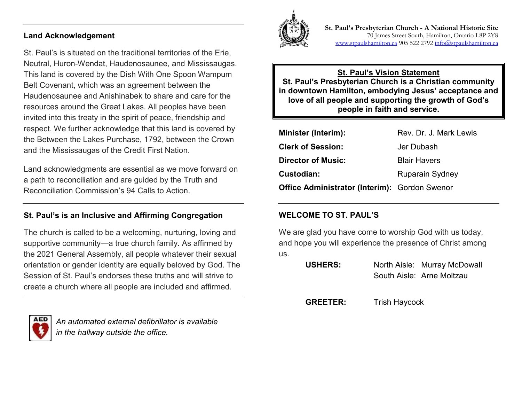#### **Land Acknowledgement**

St. Paul's is situated on the traditional territories of the Erie, Neutral, Huron-Wendat, Haudenosaunee, and Mississaugas. This land is covered by the Dish With One Spoon Wampum Belt Covenant, which was an agreement between the Haudenosaunee and Anishinabek to share and care for the resources around the Great Lakes. All peoples have been invited into this treaty in the spirit of peace, friendship and respect. We further acknowledge that this land is covered by the Between the Lakes Purchase, 1792, between the Crown and the Mississaugas of the Credit First Nation.

Land acknowledgments are essential as we move forward on a path to reconciliation and are guided by the Truth and Reconciliation Commission's 94 Calls to Action.

#### **St. Paul's is an Inclusive and Affirming Congregation**

The church is called to be a welcoming, nurturing, loving and supportive community—a true church family. As affirmed by the 2021 General Assembly, all people whatever their sexual orientation or gender identity are equally beloved by God. The Session of St. Paul's endorses these truths and will strive to create a church where all people are included and affirmed.



*An automated external defibrillator is available in the hallway outside the office.*



**St. Paul's Presbyterian Church - A National Historic Site**  70 James Street South, Hamilton, Ontario L8P 2Y8 [www.stpaulshamilton.ca](http://www.stpaulshamilton.ca/) 905 522 279[2 info@stpaulshamilton.ca](mailto:info@stpaulshamilton.ca)

**St. Paul's Vision Statement St. Paul's Presbyterian Church is a Christian community in downtown Hamilton, embodying Jesus' acceptance and love of all people and supporting the growth of God's people in faith and service.**

| <b>Minister (Interim):</b>                           | Rev. Dr. J. Mark Lewis |
|------------------------------------------------------|------------------------|
| <b>Clerk of Session:</b>                             | Jer Dubash             |
| <b>Director of Music:</b>                            | <b>Blair Havers</b>    |
| Custodian:                                           | <b>Ruparain Sydney</b> |
| <b>Office Administrator (Interim): Gordon Swenor</b> |                        |

#### **WELCOME TO ST. PAUL'S**

We are glad you have come to worship God with us today, and hope you will experience the presence of Christ among us.

| <b>USHERS:</b> | North Aisle: Murray McDowall |
|----------------|------------------------------|
|                | South Aisle: Arne Moltzau    |

**GREETER:** Trish Haycock